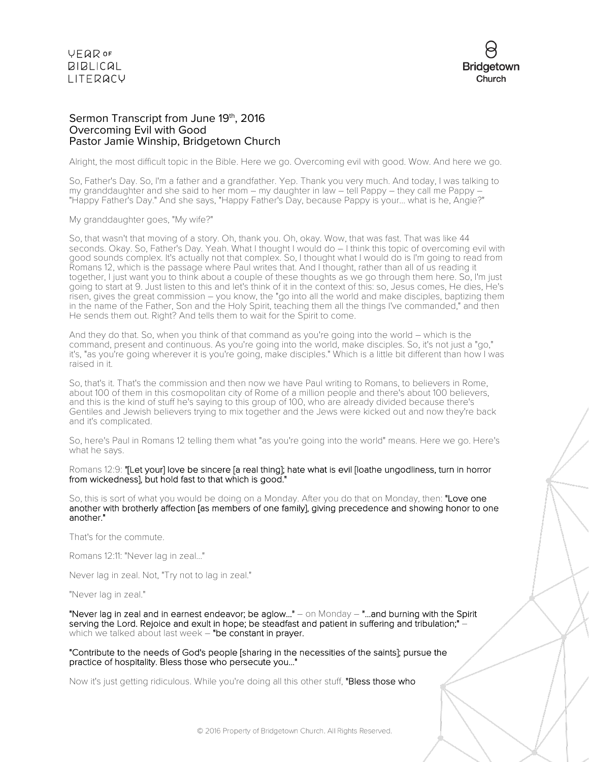



### Sermon Transcript from June 19th, 2016 Overcoming Evil with Good Pastor Jamie Winship, Bridgetown Church

Alright, the most difficult topic in the Bible. Here we go. Overcoming evil with good. Wow. And here we go.

So, Father's Day. So, I'm a father and a grandfather. Yep. Thank you very much. And today, I was talking to my granddaughter and she said to her mom – my daughter in law – tell Pappy – they call me Pappy – "Happy Father's Day." And she says, "Happy Father's Day, because Pappy is your... what is he, Angie?"

My granddaughter goes, "My wife?"

So, that wasn't that moving of a story. Oh, thank you. Oh, okay. Wow, that was fast. That was like 44 seconds. Okay. So, Father's Day. Yeah. What I thought I would do – I think this topic of overcoming evil with good sounds complex. It's actually not that complex. So, I thought what I would do is I'm going to read from Romans 12, which is the passage where Paul writes that. And I thought, rather than all of us reading it together, I just want you to think about a couple of these thoughts as we go through them here. So, I'm just going to start at 9. Just listen to this and let's think of it in the context of this: so, Jesus comes, He dies, He's risen, gives the great commission – you know, the "go into all the world and make disciples, baptizing them in the name of the Father, Son and the Holy Spirit, teaching them all the things I've commanded," and then He sends them out. Right? And tells them to wait for the Spirit to come.

And they do that. So, when you think of that command as you're going into the world – which is the command, present and continuous. As you're going into the world, make disciples. So, it's not just a "go," it's, "as you're going wherever it is you're going, make disciples." Which is a little bit different than how I was raised in it.

So, that's it. That's the commission and then now we have Paul writing to Romans, to believers in Rome, about 100 of them in this cosmopolitan city of Rome of a million people and there's about 100 believers, and this is the kind of stuff he's saying to this group of 100, who are already divided because there's Gentiles and Jewish believers trying to mix together and the Jews were kicked out and now they're back and it's complicated.

So, here's Paul in Romans 12 telling them what "as you're going into the world" means. Here we go. Here's what he says.

Romans 12:9: "[Let your] love be sincere [a real thing]; hate what is evil [loathe ungodliness, turn in horror from wickedness], but hold fast to that which is good."

So, this is sort of what you would be doing on a Monday. After you do that on Monday, then: "Love one another with brotherly affection [as members of one family], giving precedence and showing honor to one another."

That's for the commute.

Romans 12:11: "Never lag in zeal..."

Never lag in zeal. Not, "Try not to lag in zeal."

"Never lag in zeal."

"Never lag in zeal and in earnest endeavor; be aglow..." - on Monday - "...and burning with the Spirit serving the Lord. Rejoice and exult in hope; be steadfast and patient in suffering and tribulation;" Which we talked about last week – "be constant in prayer.

"Contribute to the needs of God's people [sharing in the necessities of the saints]; pursue the practice of hospitality. Bless those who persecute you..."

Now it's just getting ridiculous. While you're doing all this other stuff, "Bless those who

© 2016 Property of Bridgetown Church. All Rights Reserved.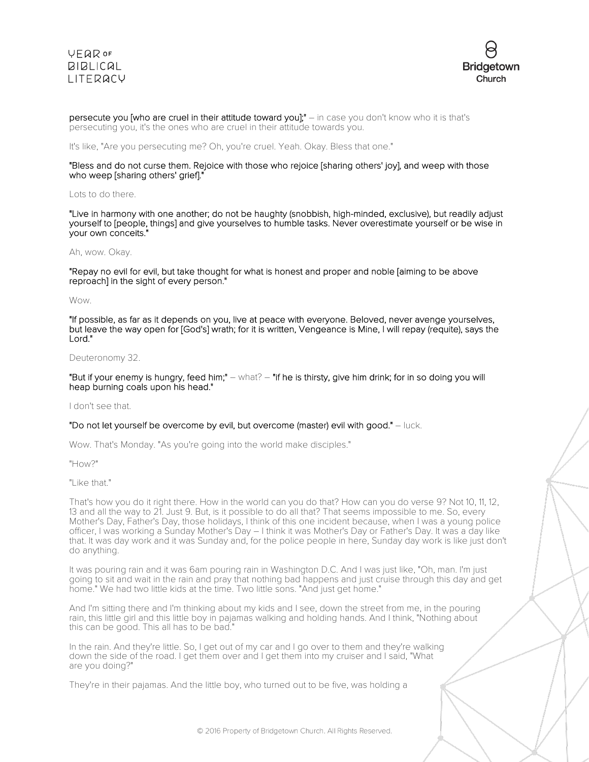### **VEQR OF BIBLICAL LITERACY**



persecute you [who are cruel in their attitude toward you];" – in case you don't know who it is that's persecuting you, it's the ones who are cruel in their attitude towards you.

It's like, "Are you persecuting me? Oh, you're cruel. Yeah. Okay. Bless that one."

### "Bless and do not curse them. Rejoice with those who rejoice [sharing others' joy], and weep with those who weep [sharing others' grief]."

#### Lots to do there.

"Live in harmony with one another; do not be haughty (snobbish, high-minded, exclusive), but readily adjust yourself to [people, things] and give yourselves to humble tasks. Never overestimate yourself or be wise in your own conceits."

### Ah, wow. Okay.

"Repay no evil for evil, but take thought for what is honest and proper and noble [aiming to be above reproach] in the sight of every person."

### Wow.

"If possible, as far as it depends on you, live at peace with everyone. Beloved, never avenge yourselves, but leave the way open for [God's] wrath; for it is written, Vengeance is Mine, I will repay (requite), says the Lord."

#### Deuteronomy 32.

"But if your enemy is hungry, feed him;" – what? – "if he is thirsty, give him drink; for in so doing you will heap burning coals upon his head."

#### I don't see that.

#### "Do not let yourself be overcome by evil, but overcome (master) evil with good." – luck.

Wow. That's Monday. "As you're going into the world make disciples."

"How?"

"Like that."

That's how you do it right there. How in the world can you do that? How can you do verse 9? Not 10, 11, 12, 13 and all the way to 21. Just 9. But, is it possible to do all that? That seems impossible to me. So, every Mother's Day, Father's Day, those holidays, I think of this one incident because, when I was a young police officer, I was working a Sunday Mother's Day – I think it was Mother's Day or Father's Day. It was a day like that. It was day work and it was Sunday and, for the police people in here, Sunday day work is like just don't do anything.

It was pouring rain and it was 6am pouring rain in Washington D.C. And I was just like, "Oh, man. I'm just going to sit and wait in the rain and pray that nothing bad happens and just cruise through this day and get home." We had two little kids at the time. Two little sons. "And just get home."

And I'm sitting there and I'm thinking about my kids and I see, down the street from me, in the pouring rain, this little girl and this little boy in pajamas walking and holding hands. And I think, "Nothing about this can be good. This all has to be bad."

In the rain. And they're little. So, I get out of my car and I go over to them and they're walking down the side of the road. I get them over and I get them into my cruiser and I said, "What are you doing?"

They're in their pajamas. And the little boy, who turned out to be five, was holding a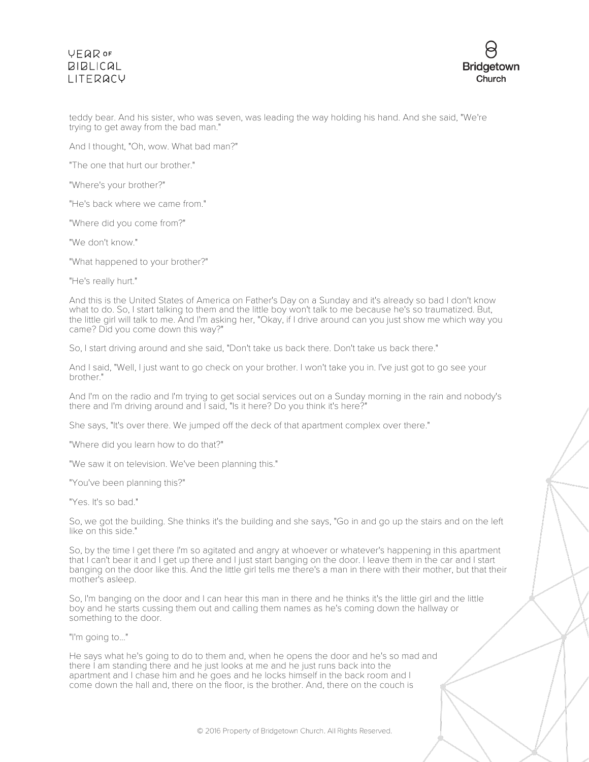# **VFQR OF BIBLICAL** LITERACY



teddy bear. And his sister, who was seven, was leading the way holding his hand. And she said, "We're trying to get away from the bad man."

And I thought, "Oh, wow. What bad man?"

"The one that hurt our brother."

"Where's your brother?"

"He's back where we came from."

"Where did you come from?"

"We don't know."

"What happened to your brother?"

"He's really hurt."

And this is the United States of America on Father's Day on a Sunday and it's already so bad I don't know what to do. So, I start talking to them and the little boy won't talk to me because he's so traumatized. But, the little girl will talk to me. And I'm asking her, "Okay, if I drive around can you just show me which way you came? Did you come down this way?"

So, I start driving around and she said, "Don't take us back there. Don't take us back there."

And I said, "Well, I just want to go check on your brother. I won't take you in. I've just got to go see your brother."

And I'm on the radio and I'm trying to get social services out on a Sunday morning in the rain and nobody's there and I'm driving around and I said, "Is it here? Do you think it's here?"

She says, "It's over there. We jumped off the deck of that apartment complex over there."

"Where did you learn how to do that?"

"We saw it on television. We've been planning this."

"You've been planning this?"

"Yes. It's so bad."

So, we got the building. She thinks it's the building and she says, "Go in and go up the stairs and on the left like on this side."

So, by the time I get there I'm so agitated and angry at whoever or whatever's happening in this apartment that I can't bear it and I get up there and I just start banging on the door. I leave them in the car and I start banging on the door like this. And the little girl tells me there's a man in there with their mother, but that their mother's asleep.

So, I'm banging on the door and I can hear this man in there and he thinks it's the little girl and the little boy and he starts cussing them out and calling them names as he's coming down the hallway or something to the door.

"I'm going to..."

He says what he's going to do to them and, when he opens the door and he's so mad and there I am standing there and he just looks at me and he just runs back into the apartment and I chase him and he goes and he locks himself in the back room and I come down the hall and, there on the floor, is the brother. And, there on the couch is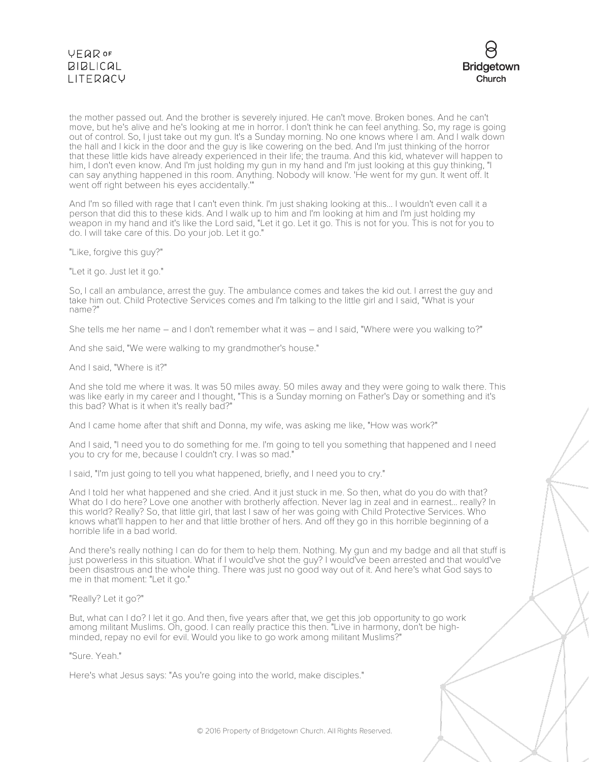## **VEQR OF**  $BIBLICAL$ **LITERACY**



the mother passed out. And the brother is severely injured. He can't move. Broken bones. And he can't move, but he's alive and he's looking at me in horror. I don't think he can feel anything. So, my rage is going out of control. So, I just take out my gun. It's a Sunday morning. No one knows where I am. And I walk down the hall and I kick in the door and the guy is like cowering on the bed. And I'm just thinking of the horror that these little kids have already experienced in their life; the trauma. And this kid, whatever will happen to him, I don't even know. And I'm just holding my gun in my hand and I'm just looking at this guy thinking, "I can say anything happened in this room. Anything. Nobody will know. 'He went for my gun. It went off. It went off right between his eyes accidentally.'"

And I'm so filled with rage that I can't even think. I'm just shaking looking at this... I wouldn't even call it a person that did this to these kids. And I walk up to him and I'm looking at him and I'm just holding my weapon in my hand and it's like the Lord said, "Let it go. Let it go. This is not for you. This is not for you to do. I will take care of this. Do your job. Let it go."

"Like, forgive this guy?"

"Let it go. Just let it go."

So, I call an ambulance, arrest the guy. The ambulance comes and takes the kid out. I arrest the guy and take him out. Child Protective Services comes and I'm talking to the little girl and I said, "What is your name?"

She tells me her name – and I don't remember what it was – and I said, "Where were you walking to?"

And she said, "We were walking to my grandmother's house."

### And I said, "Where is it?"

And she told me where it was. It was 50 miles away. 50 miles away and they were going to walk there. This was like early in my career and I thought, "This is a Sunday morning on Father's Day or something and it's this bad? What is it when it's really bad?"

And I came home after that shift and Donna, my wife, was asking me like, "How was work?"

And I said, "I need you to do something for me. I'm going to tell you something that happened and I need you to cry for me, because I couldn't cry. I was so mad."

I said, "I'm just going to tell you what happened, briefly, and I need you to cry."

And I told her what happened and she cried. And it just stuck in me. So then, what do you do with that? What do I do here? Love one another with brotherly affection. Never lag in zeal and in earnest... really? In this world? Really? So, that little girl, that last I saw of her was going with Child Protective Services. Who knows what'll happen to her and that little brother of hers. And off they go in this horrible beginning of a horrible life in a bad world.

And there's really nothing I can do for them to help them. Nothing. My gun and my badge and all that stuff is just powerless in this situation. What if I would've shot the guy? I would've been arrested and that would've been disastrous and the whole thing. There was just no good way out of it. And here's what God says to me in that moment: "Let it go."

### "Really? Let it go?"

But, what can I do? I let it go. And then, five years after that, we get this job opportunity to go work among militant Muslims. Oh, good. I can really practice this then. "Live in harmony, don't be highminded, repay no evil for evil. Would you like to go work among militant Muslims?"

### "Sure. Yeah."

Here's what Jesus says: "As you're going into the world, make disciples."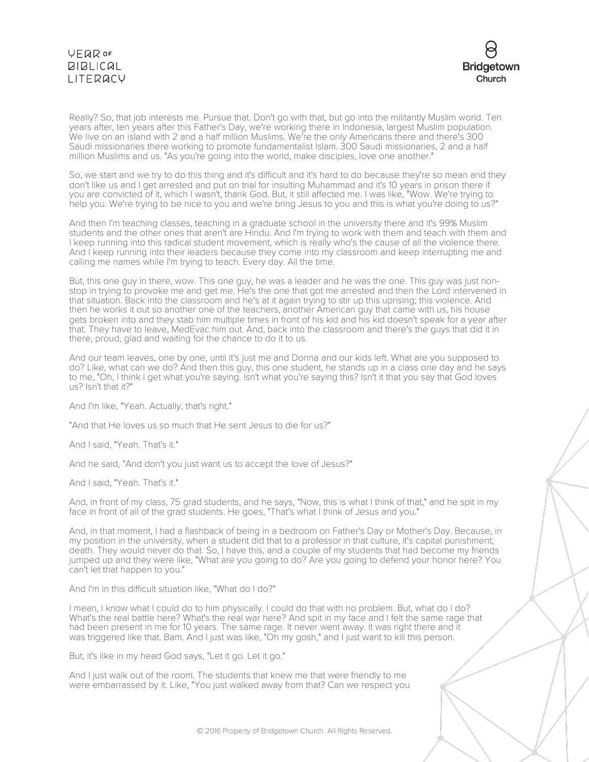## **VEQR OF BIBLICAL** LITERACY



Really? So, that job interests me. Pursue that. Don't go with that, but go into the militantly Muslim world. Ten years after, ten years after this Father's Day, we're working there in Indonesia, largest Muslim population. We live on an island with 2 and a half million Muslims. We're the only Americans there and there's 300 Saudi missionaries there working to promote fundamentalist Islam. 300 Saudi missionaries, 2 and a half million Muslims and us. "As you're going into the world, make disciples, love one another."

So, we start and we try to do this thing and it's difficult and it's hard to do because they're so mean and they don't like us and I get arrested and put on trial for insulting Muhammad and it's 10 years in prison there if you are convicted of it, which I wasn't, thank God. But, it still affected me. I was like, "Wow. We're trying to help you. We're trying to be nice to you and we're bring Jesus to you and this is what you're doing to us?"

And then I'm teaching classes, teaching in a graduate school in the university there and it's 99% Muslim students and the other ones that aren't are Hindu. And I'm trying to work with them and teach with them and I keep running into this radical student movement, which is really who's the cause of all the violence there. And I keep running into their leaders because they come into my classroom and keep interrupting me and calling me names while I'm trying to teach. Every day. All the time.

But, this one guy in there, wow. This one guy, he was a leader and he was the one. This guy was just nonstop in trying to provoke me and get me. He's the one that got me arrested and then the Lord intervened in that situation. Back into the classroom and he's at it again trying to stir up this uprising; this violence. And then he works it out so another one of the teachers, another American guy that came with us, his house gets broken into and they stab him multiple times in front of his kid and his kid doesn't speak for a year after that. They have to leave, MedEvac him out. And, back into the classroom and there's the guys that did it in there, proud, glad and waiting for the chance to do it to us.

And our team leaves, one by one, until it's just me and Donna and our kids left. What are you supposed to do? Like, what can we do? And then this guy, this one student, he stands up in a class one day and he says to me, "Oh, I think I get what you're saying. Isn't what you're saying this? Isn't it that you say that God loves us? Isn't that it?"

And I'm like, "Yeah. Actually, that's right."

"And that He loves us so much that He sent Jesus to die for us?"

And I said, "Yeah. That's it."

And he said, "And don't you just want us to accept the love of Jesus?"

And I said, "Yeah. That's it."

And, in front of my class, 75 grad students, and he says, "Now, this is what I think of that," and he spit in my face in front of all of the grad students. He goes, "That's what I think of Jesus and you."

And, in that moment, I had a flashback of being in a bedroom on Father's Day or Mother's Day. Because, in my position in the university, when a student did that to a professor in that culture, it's capital punishment; death. They would never do that. So, I have this, and a couple of my students that had become my friends jumped up and they were like, "What are you going to do? Are you going to defend your honor here? You can't let that happen to you."

And I'm in this difficult situation like, "What do I do?"

I mean, I know what I could do to him physically. I could do that with no problem. But, what do I do? What's the real battle here? What's the real war here? And spit in my face and I felt the same rage that had been present in me for 10 years. The same rage. It never went away. It was right there and it was triggered like that. Bam. And I just was like, "Oh my gosh," and I just want to kill this person.

But, it's like in my head God says, "Let it go. Let it go."

And I just walk out of the room. The students that knew me that were friendly to me were embarrassed by it. Like, "You just walked away from that? Can we respect you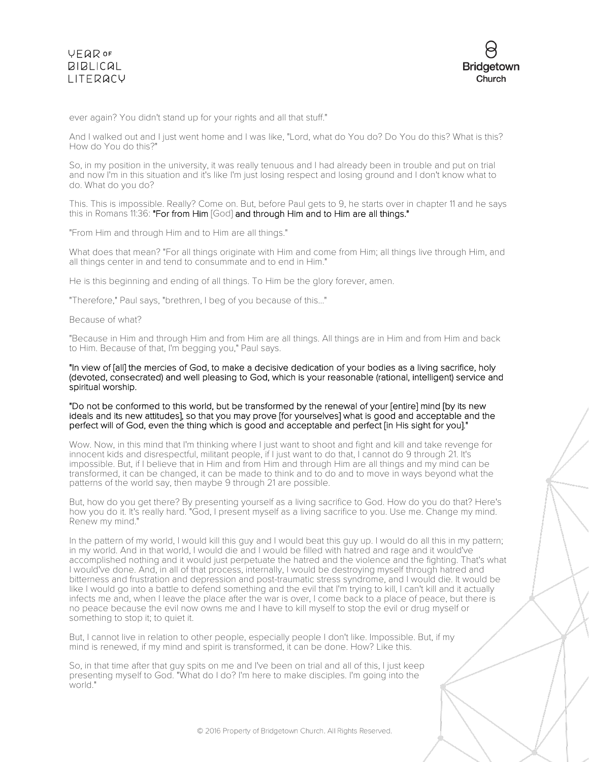

ever again? You didn't stand up for your rights and all that stuff."

And I walked out and I just went home and I was like, "Lord, what do You do? Do You do this? What is this? How do You do this?"

So, in my position in the university, it was really tenuous and I had already been in trouble and put on trial and now I'm in this situation and it's like I'm just losing respect and losing ground and I don't know what to do. What do you do?

This. This is impossible. Really? Come on. But, before Paul gets to 9, he starts over in chapter 11 and he says this in Romans 11:36: "For from Him [God] and through Him and to Him are all things."

"From Him and through Him and to Him are all things."

What does that mean? "For all things originate with Him and come from Him; all things live through Him, and all things center in and tend to consummate and to end in Him."

He is this beginning and ending of all things. To Him be the glory forever, amen.

"Therefore," Paul says, "brethren, I beg of you because of this..."

Because of what?

"Because in Him and through Him and from Him are all things. All things are in Him and from Him and back to Him. Because of that, I'm begging you," Paul says.

"In view of [all] the mercies of God, to make a decisive dedication of your bodies as a living sacrifice, holy (devoted, consecrated) and well pleasing to God, which is your reasonable (rational, intelligent) service and spiritual worship.

"Do not be conformed to this world, but be transformed by the renewal of your [entire] mind [by its new ideals and its new attitudes], so that you may prove [for yourselves] what is good and acceptable and the perfect will of God, even the thing which is good and acceptable and perfect [in His sight for you]."

Wow. Now, in this mind that I'm thinking where I just want to shoot and fight and kill and take revenge for innocent kids and disrespectful, militant people, if I just want to do that, I cannot do 9 through 21. It's impossible. But, if I believe that in Him and from Him and through Him are all things and my mind can be transformed, it can be changed, it can be made to think and to do and to move in ways beyond what the patterns of the world say, then maybe 9 through 21 are possible.

But, how do you get there? By presenting yourself as a living sacrifice to God. How do you do that? Here's how you do it. It's really hard. "God, I present myself as a living sacrifice to you. Use me. Change my mind. Renew my mind."

In the pattern of my world, I would kill this guy and I would beat this guy up. I would do all this in my pattern; in my world. And in that world, I would die and I would be filled with hatred and rage and it would've accomplished nothing and it would just perpetuate the hatred and the violence and the fighting. That's what I would've done. And, in all of that process, internally, I would be destroying myself through hatred and bitterness and frustration and depression and post-traumatic stress syndrome, and I would die. It would be like I would go into a battle to defend something and the evil that I'm trying to kill, I can't kill and it actually infects me and, when I leave the place after the war is over, I come back to a place of peace, but there is no peace because the evil now owns me and I have to kill myself to stop the evil or drug myself or something to stop it; to quiet it.

But, I cannot live in relation to other people, especially people I don't like. Impossible. But, if my mind is renewed, if my mind and spirit is transformed, it can be done. How? Like this.

So, in that time after that guy spits on me and I've been on trial and all of this, I just keep presenting myself to God. "What do I do? I'm here to make disciples. I'm going into the world."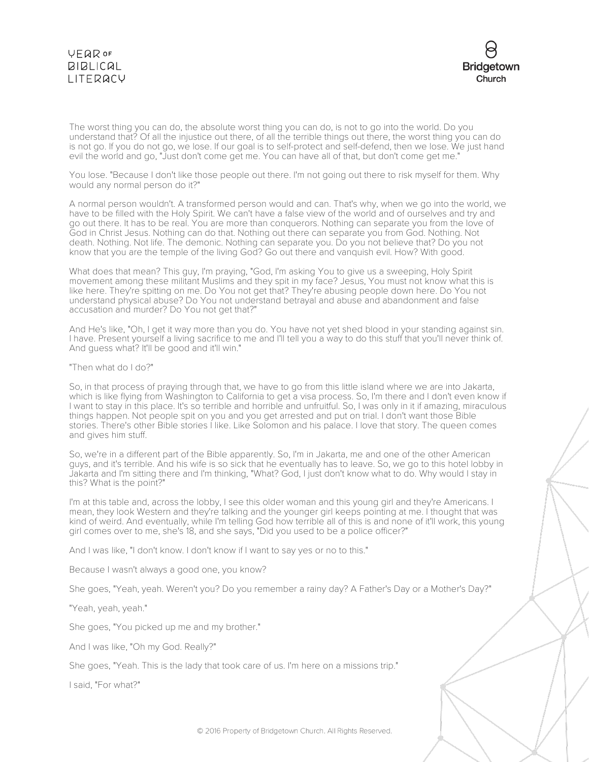

The worst thing you can do, the absolute worst thing you can do, is not to go into the world. Do you understand that? Of all the injustice out there, of all the terrible things out there, the worst thing you can do is not go. If you do not go, we lose. If our goal is to self-protect and self-defend, then we lose. We just hand evil the world and go, "Just don't come get me. You can have all of that, but don't come get me."

You lose. "Because I don't like those people out there. I'm not going out there to risk myself for them. Why would any normal person do it?"

A normal person wouldn't. A transformed person would and can. That's why, when we go into the world, we have to be filled with the Holy Spirit. We can't have a false view of the world and of ourselves and try and go out there. It has to be real. You are more than conquerors. Nothing can separate you from the love of God in Christ Jesus. Nothing can do that. Nothing out there can separate you from God. Nothing. Not death. Nothing. Not life. The demonic. Nothing can separate you. Do you not believe that? Do you not know that you are the temple of the living God? Go out there and vanquish evil. How? With good.

What does that mean? This guy, I'm praying, "God, I'm asking You to give us a sweeping, Holy Spirit movement among these militant Muslims and they spit in my face? Jesus, You must not know what this is like here. They're spitting on me. Do You not get that? They're abusing people down here. Do You not understand physical abuse? Do You not understand betrayal and abuse and abandonment and false accusation and murder? Do You not get that?"

And He's like, "Oh, I get it way more than you do. You have not yet shed blood in your standing against sin. I have. Present yourself a living sacrifice to me and I'll tell you a way to do this stuff that you'll never think of. And guess what? It'll be good and it'll win."

"Then what do I do?"

So, in that process of praying through that, we have to go from this little island where we are into Jakarta, which is like flying from Washington to California to get a visa process. So, I'm there and I don't even know if I want to stay in this place. It's so terrible and horrible and unfruitful. So, I was only in it if amazing, miraculous things happen. Not people spit on you and you get arrested and put on trial. I don't want those Bible stories. There's other Bible stories I like. Like Solomon and his palace. I love that story. The queen comes and gives him stuff.

So, we're in a different part of the Bible apparently. So, I'm in Jakarta, me and one of the other American guys, and it's terrible. And his wife is so sick that he eventually has to leave. So, we go to this hotel lobby in Jakarta and I'm sitting there and I'm thinking, "What? God, I just don't know what to do. Why would I stay in this? What is the point?"

I'm at this table and, across the lobby, I see this older woman and this young girl and they're Americans. I mean, they look Western and they're talking and the younger girl keeps pointing at me. I thought that was kind of weird. And eventually, while I'm telling God how terrible all of this is and none of it'll work, this young girl comes over to me, she's 18, and she says, "Did you used to be a police officer?"

And I was like, "I don't know. I don't know if I want to say yes or no to this."

Because I wasn't always a good one, you know?

She goes, "Yeah, yeah. Weren't you? Do you remember a rainy day? A Father's Day or a Mother's Day?"

"Yeah, yeah, yeah."

She goes, "You picked up me and my brother."

And I was like, "Oh my God. Really?"

She goes, "Yeah. This is the lady that took care of us. I'm here on a missions trip."

I said, "For what?"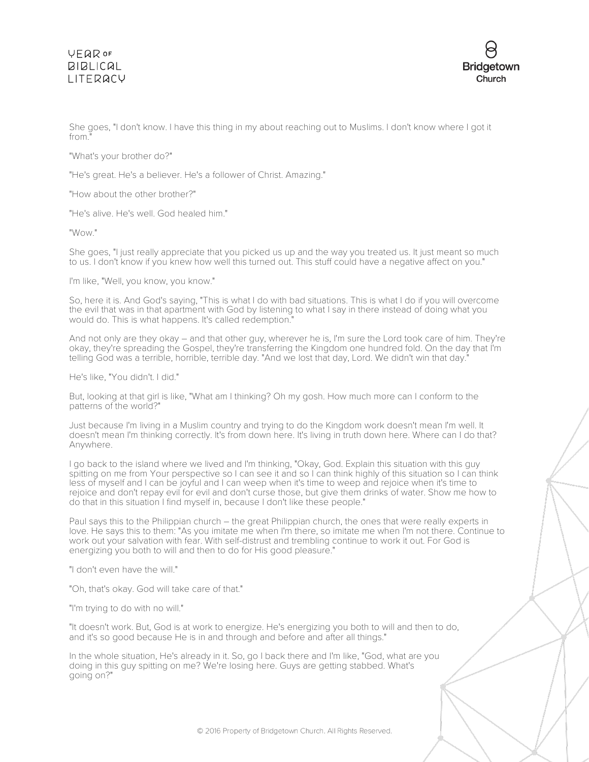## **VFQR OF**  $BIBLICAL$ **LITERACY**



She goes, "I don't know. I have this thing in my about reaching out to Muslims. I don't know where I got it from."

"What's your brother do?"

"He's great. He's a believer. He's a follower of Christ. Amazing."

"How about the other brother?"

"He's alive. He's well. God healed him."

"Wow."

She goes, "I just really appreciate that you picked us up and the way you treated us. It just meant so much to us. I don't know if you knew how well this turned out. This stuff could have a negative affect on you."

I'm like, "Well, you know, you know."

So, here it is. And God's saying, "This is what I do with bad situations. This is what I do if you will overcome the evil that was in that apartment with God by listening to what I say in there instead of doing what you would do. This is what happens. It's called redemption."

And not only are they okay – and that other guy, wherever he is, I'm sure the Lord took care of him. They're okay, they're spreading the Gospel, they're transferring the Kingdom one hundred fold. On the day that I'm telling God was a terrible, horrible, terrible day. "And we lost that day, Lord. We didn't win that day."

He's like, "You didn't. I did."

But, looking at that girl is like, "What am I thinking? Oh my gosh. How much more can I conform to the patterns of the world?"

Just because I'm living in a Muslim country and trying to do the Kingdom work doesn't mean I'm well. It doesn't mean I'm thinking correctly. It's from down here. It's living in truth down here. Where can I do that? Anywhere.

I go back to the island where we lived and I'm thinking, "Okay, God. Explain this situation with this guy spitting on me from Your perspective so I can see it and so I can think highly of this situation so I can think less of myself and I can be joyful and I can weep when it's time to weep and rejoice when it's time to rejoice and don't repay evil for evil and don't curse those, but give them drinks of water. Show me how to do that in this situation I find myself in, because I don't like these people."

Paul says this to the Philippian church – the great Philippian church, the ones that were really experts in love. He says this to them: "As you imitate me when I'm there, so imitate me when I'm not there. Continue to work out your salvation with fear. With self-distrust and trembling continue to work it out. For God is energizing you both to will and then to do for His good pleasure."

"I don't even have the will."

"Oh, that's okay. God will take care of that."

"I'm trying to do with no will."

"It doesn't work. But, God is at work to energize. He's energizing you both to will and then to do, and it's so good because He is in and through and before and after all things."

In the whole situation, He's already in it. So, go I back there and I'm like, "God, what are you doing in this guy spitting on me? We're losing here. Guys are getting stabbed. What's going on?"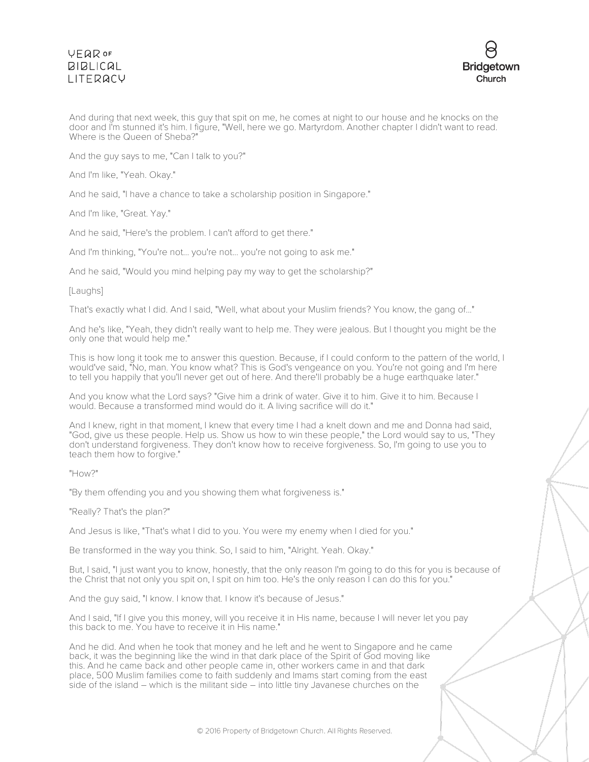## **VFQR OF**  $BIBLICAL$ **I ITFRACY**



And during that next week, this guy that spit on me, he comes at night to our house and he knocks on the door and I'm stunned it's him. I figure, "Well, here we go. Martyrdom. Another chapter I didn't want to read. Where is the Queen of Sheba?"

And the guy says to me, "Can I talk to you?"

And I'm like, "Yeah. Okay."

And he said, "I have a chance to take a scholarship position in Singapore."

And I'm like, "Great. Yay."

And he said, "Here's the problem. I can't afford to get there."

And I'm thinking, "You're not... you're not... you're not going to ask me."

And he said, "Would you mind helping pay my way to get the scholarship?"

#### [Laughs]

That's exactly what I did. And I said, "Well, what about your Muslim friends? You know, the gang of..."

And he's like, "Yeah, they didn't really want to help me. They were jealous. But I thought you might be the only one that would help me."

This is how long it took me to answer this question. Because, if I could conform to the pattern of the world, I would've said, "No, man. You know what? This is God's vengeance on you. You're not going and I'm here to tell you happily that you'll never get out of here. And there'll probably be a huge earthquake later."

And you know what the Lord says? "Give him a drink of water. Give it to him. Give it to him. Because I would. Because a transformed mind would do it. A living sacrifice will do it."

And I knew, right in that moment, I knew that every time I had a knelt down and me and Donna had said, "God, give us these people. Help us. Show us how to win these people," the Lord would say to us, "They don't understand forgiveness. They don't know how to receive forgiveness. So, I'm going to use you to teach them how to forgive."

#### "How?"

"By them offending you and you showing them what forgiveness is."

"Really? That's the plan?"

And Jesus is like, "That's what I did to you. You were my enemy when I died for you."

Be transformed in the way you think. So, I said to him, "Alright. Yeah. Okay."

But, I said, "I just want you to know, honestly, that the only reason I'm going to do this for you is because of the Christ that not only you spit on, I spit on him too. He's the only reason I can do this for you."

And the guy said, "I know. I know that. I know it's because of Jesus."

And I said, "If I give you this money, will you receive it in His name, because I will never let you pay this back to me. You have to receive it in His name."

And he did. And when he took that money and he left and he went to Singapore and he came back, it was the beginning like the wind in that dark place of the Spirit of God moving like this. And he came back and other people came in, other workers came in and that dark place, 500 Muslim families come to faith suddenly and Imams start coming from the east side of the island – which is the militant side – into little tiny Javanese churches on the